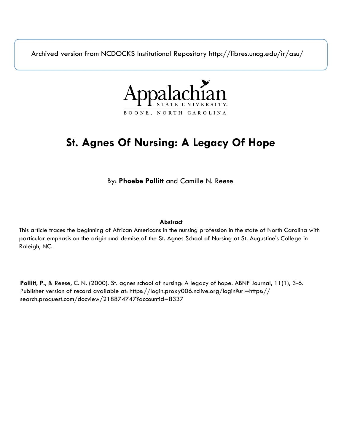Archived version from NCDOCKS Institutional Repository http://libres.uncg.edu/ir/asu/



# **St. Agnes Of Nursing: A Legacy Of Hope**

By: **Phoebe Pollitt** and Camille N. Reese

### **Abstract**

This article traces the beginning of African Americans in the nursing profession in the state of North Carolina with particular emphasis on the origin and demise of the St. Agnes School of Nursing at St. Augustine's College in Raleigh, NC.

**Pollitt, P.**, & Reese, C. N. (2000). St. agnes school of nursing: A legacy of hope. ABNF Journal, 11(1), 3-6. Publisher version of record available at: https://login.proxy006.nclive.org/login?url=https:// search.proquest.com/docview/218874747?accountid=8337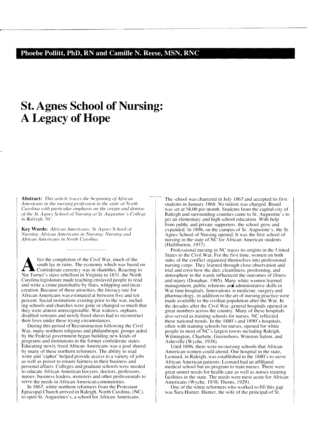## **St. Agnes School of Nursing: A Legacy of Hope**

Abstract: This article traces the beginning of African *Americans in the nursing profession in the state of North Carolina with particular emphasis on the origin and demise of the St. Agnes School of Nursing at St. Augustine's College in Raleigh*, NC.

**Key Words:** African Americans; St. Agnes School of *Nursing: Afi·icw1 Americons in Nursing: Nursing om/ African Americans in North Carolina* 

**A fter the completion of the Civil War. much of the south lay in ruins. The economy which was based of Confederate currency was in shambles. Reacting to Nat Turner's slave rebellion in Virginia in 1831, the North** south lay in ruins. The economy which was based on Nat Turner's slave rebellion in Virginia in 1831. the North Carolina legislature made teaching enslaved people to read and write a crime punishable by fines, whipping and incarceration. Because of these atrocities, the literacy rate for African Americans was estimated al between five and ten percent. Social institutions existing prior to the war, including schools and churches were gone or changed so much that they were almost unrecognizable. War widows, orphans, disabled veterans and newly freed slaves had to reconstruct their lives under these trying circumstances.

During this period of Reconstruction following the Civil War. many northern religious and philanthropic groups aided by the Federal government began building new kinds of programs and institutions in the former confederate states. Educating newly freed African Americans was a goal shared by many of these northern reformers. The ability to read write and "cipher' helped provide access to a variety of jobs as well as power to ensure fairness in their business and personal affairs. Colleges and graduate schools were needed to educate African American lawyers. doctors. professors, nurses. business leaders, ministers and other professionals to serve the needs in African American communities.

In 1867, white northern reformers from the Protestant Episcopal Church arrived in Raleigh, North Carolina, *(NC),*  to open St. Augustines's, a school for African Americans.

The school was chartered in July 1867 and accepted its first students in January 1868. No tuition was charged. Board was set at S8.00 per month. Students from the capital city of Raleigh and surrounding counties came to St. Augustine· s to get an elementary and high school education. With help from public and private supporters. the school grew and expanded. In 1896, on the campus of St. Augustine's, the St. Agnes School of Nursing opened. It was the first school of nursing in the state of NC for African American students (Halliburton, 1937).

Professional nursing in NC traces its origins in the United States to the Civil War. For the first time, women on both sides of the conflict organized themselves into professional nursing corps. They learned through close observation and trial and error how the diet, cleanliness. positioning, and atmosphere in the wards influenced the outcomes of illness and injury (Donahue. 1985 *).* Many white women learned management, public relations and administrative skills in War time hospitals. Innovations in medicine. surgery and pharmacology. in addition to the art of nursing practice were made available to the civilian population after the War. In the decades after the Civil War, general hospitals opened in great numbers across the country. Many of these hospitals also served as training schools for nurses. NC reflected these national trends. In the 1880's and 1890's hospitals, often with training schools for nurses, opened for white people in most of NC's largest towns including Raleigh, Wilmington, Charlotte, Greensboro, Winston-Salem. and Asheville (Wyche, 1938).

Until 1896, there were no nursing schools that African American women could attend. One hospital in the state, Leonard, in Raleigh, was established in the 1880's to serve African American patients. Leonard had an affiliated medical school but no program to train nurses. There were great unmet needs for health care as well as nurses training facilities in the state. The needs were most acute for African Americans (Wyche. 1938; Thoms, 1929).

One of the white reformers who worked to fill this gap was Sara Hunter. Hunter, the wife of the principal of St.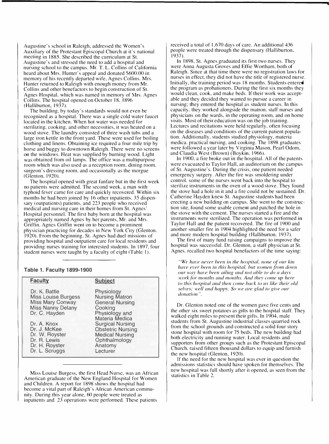Augustine's school in Raleigh, addressed the Women's Auxiliary of the Protestant Episcopal Church at it's national meeting in 1885. She described the curriculum at St. Augustine's and stressed the need to add a hospital and nursing school to the campus. **Mr.** T. L. Collins of California heard about Mrs. Hunter's appeal and donated \$600.00 in memory of his recently departed wife, Agnes Collins. Mrs. Hunter returned to Raleigh with enough money from Mr. Collins and other benefactors to begin construction of St. Agnes Hospital, which was named in memory of **Mrs.** Agnes Collins. The hospital opened on October 18, 1896 (Halliburton, 1937).

The building, by today's standards would not even be recognized as a hospital. There was a single cold water faucet located in the kitchen. When hot water was needed for sterilizing, cooking, and other necessities, it was heated on a wood stove. The laundry consisted of three wash tubs and a large iron kettle in the front yard. These were used for boiling clothing and linens. Obtaining ice required a four mile trip by horse and buggy to downtown Raleigh. There were no screens on the windows. Heat was supplied by burning wood. Light was obtained from oil lamps. The office was a multipurpose room which was also used as a reception room. dining room. surgeon's dressing room, and occasionally as the morgue (Glenton, 1920).

The hospital opened with great fanfare but in the first week no patients were admitted. The second week. a man with typhoid fever came for care and quickly recovered. Within six months he had been joined by 16 other inpatients. 35 dispensary (outpatients) patients, and 223 people who received medical and nursing care in their homes from St. Agnes' Hospital personnel. The first baby born at the hospital was appropriately named Agnes by her parents, Mr. and Mrs. Griffin. Agnes Griffin went on to become a prominent physician practicing for decades in New York City (Glenton. 1920). From the beginning, St. Agnes had duel missions of providing hospital and outpatient care for local residents and providing nurses training for interested students. In I 897. four student nurses were taught by a faculty of eight (Table I).

#### **Table 1. Faculty 1899-1900**

| <b>Faculty</b>                                                                                                      | <b>Subject</b>                                                                                                        |
|---------------------------------------------------------------------------------------------------------------------|-----------------------------------------------------------------------------------------------------------------------|
| Dr. K. Battle<br><b>Miss Louise Burgess</b><br><b>Miss Mary Conway</b><br><b>Miss Nanny Delany</b><br>Dr. C. Hayden | Physiology<br><b>Nursing Matron</b><br><b>General Nursing</b><br>Cooking<br>Physiology and<br>Materia Medica          |
| Dr. A. Knox<br>Dr. J. McKee<br>Dr. W. Royster<br>Dr. R. Lewis<br>Dr. H. Royster<br>Dr. L. Scruggs                   | <b>Surgical Nursing</b><br><b>Obstetric Nursing</b><br><b>Medical Nursing</b><br>Ophthalmology<br>Anatomy<br>Lecturer |

Miss Louise Burgess, the first Head Nurse, was an African American graduate of the New England Hospital for Women and Children. A report for 1898 shows the hospital had become a vital part of Raleigh's African American community. During this year alone, 60 people were treated as inpatients and 23 operations were performed. These patients

received a total of 1,670 days of care. An additional 436 people were treated through the dispensary (Halliburton, 1937).

In 1898. St. Agnes graduated its first two nurses. They were Anna Augusta Groves and Effie Wortham, both of Raleigh. Since at that time there were no registration laws for nurses in effect, they did not have the title of registered nurse. Initially, the training period was 18 months. Students entered the program as probationers. During the first six months they would clean, cook, and make beds. If their work was acceptable and they decided they wanted to pursue a career in nursing; they entered the hospital as student nurses. In this capacity, they worked alongside the matron. staff nurses and physicians on the wards, in the operating room. and on home visits. Most of their education was on the job training. Lectures and recitations were held regularly, often focusing on the diseases and conditions of the current patient population. Additionally, students studied physiology, materia medica. practical nursing, and cooking. The 1898 graduates were followed a year later by Virginia Mason, Pearl Odom, and Claudia West (Brown) (Boykin, 1966).

In 1900. a fire broke out in the hospital. All of the patents were evacuated to Taylor Hall, an auditorium on the campus of St. Augustine's. During the crisis, one patient needed emergency surgery. After the fire was smoldering under control. some of the nurses went back into the hospital to sterilize instruments in the oven of a wood stove. They found the stove had a hole in it and a fire could not be sustained. Dr. Catherine Hayden knew St. Augustine students had been erecting a new building on campus. She went to the construction site, found some usable cement and patched the hole in the stove with the cement. The nurses started a fire and the instruments were sterilized. The operation was performed in Taylor Hall and the patient recovered. The fire of 1900 and another smaller fire in 1904 highlighted the need for a safer and more modern hospital building (Halliburton. 1937).

The first of many fund raising campaigns to improve the hospital was successful. Dr. Glenton, a staff physician at St. Agnes. recalled two hospital benefactors of the time saying:

*"We have never been in the hospital, none of our kin have ever been in this hospital, hut women from down our way hal'e heen ailing and not able to do a days work.fiir months and months. And they come up here to this hospital and then come back to us like their old selves; well and happy. So we are glad to give our donation".* 

Dr. Glenton noted one of the women gave five cents and the other six sweet potatoes as gifts to the hospital staff. They walked eight miles to present their gifts. In 1904, male students from St. Augustine industrial classes quarried rock from the school grounds and constructed a solid four story stone hospital with room for 75 beds. The new building had both electricity and running water. Local residents and supporters from other groups such as the Protestant Episcopal Church, raised fifteen thousand dollars to equip and furnish the new hospital (Glenton, 1920).

If the need for the new hospital was ever in question the admissions statistics should have spoken for themselves. The new hospital was full shortly after it opened, as seen from the statistics in Table 2.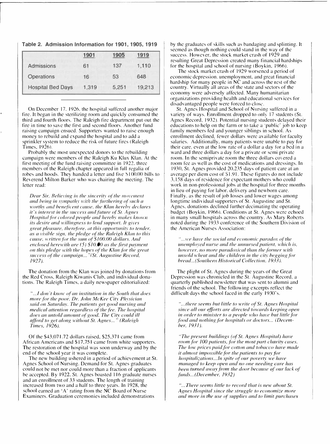| Table 2. Admission Information for 1901, 1905, 1919 |  |  |  |
|-----------------------------------------------------|--|--|--|
|-----------------------------------------------------|--|--|--|

|                          | 1901  | 1905  | 1919   |
|--------------------------|-------|-------|--------|
| <b>Admissions</b>        | 61    | 137   | 1,110  |
| <b>Operations</b>        | 16    | 53    | 648    |
| <b>Hospital Bed Days</b> | 1,319 | 5,251 | 19,213 |

On December 17. 1926. the hospital suffered another major fire. It began in the sterilizing room and quickly consumed the third and fourth floors. The Raleigh fire department put out the fire in time to save the first and second floors. Another fund raising campaign ensued. Supporters wanted to raise enough money to rebuild and expand the hospital and to add a sprinkler system to reduce the risk of future fires (Raleigh Times. 1926).

Probably the most unexpected donors to the rebuilding campaign were members of the Raleigh Ku Klux Klan. At the first meeting of the fund raising committee in 1922. three members of the Raleigh chapter appeared in full regalia of robes and hoods. Thev handed a letter and five SI 00.00 bills to Reverend Milton Barker who was chairing the meeting. The letter read:

*Dear Sir, Believing in the sincerity of the movement and being in sympathy with the furthering of such a worthy and beneficent cause, the Klan hereby declares it's interest in the success and future of St. Agnes Hospital for colored people and hereby makes known its desire and willingness to lend support. It gives* great pleasure, therefore, at this opportunity to tender. *as a 1·i.1ihle sign, the pledge of the Raleigh Klon to this cause, written for the sum of \$100.00 dollars. And enclosed herewith are (5) \$10.00 as the first payment on this pledge with the hopes of the Klan for the great success o{the campaign ... "'(St. Augustine Record, 1927).* 

The donation from the Klan was joined by donations from the Red Cross, Raleigh Kiwanis Club, and individual donations. The Raleigh Times, a daily newspaper editorialized:

*" .. .!don't know ol an institution in the South that does more for the poor. Dr. John McKee Citv Ph\·sician said on Saturda\_<sup>y</sup> . The patients get good nursing and medical attention regardless of the fee. The hospital* does an untold amount of good. The City could ill *afford to get along without St. Agnes...* " *(Raleigh Times, 1926).* 

Of the \$43,071.72 dollars raised, \$25,371 came from African Americans and \$17.751 came from white supporters. The restoration of the hospital was soon underway and by the end of the school year it was complete.

The new building ushered in a period of achievement at St. Agnes School of Nursing. Demand for St. Agnes graduates could not be met nor could more than a fraction of applicants be accepted. By 1922. St. Agnes boasted 116 graduate nurses and an enrollment of 33 students. The length of training increased from two and a half to three years. In 1928, the school earned an 'A' rating from the NC Board of Nurse Examiners. Graduation ceremonies included demonstrations

by the graduates of skills such as bandaging and splinting. It seemed as though nothing could stand in the way of the success. However, the stock market crash of 1929 and resulting Great Depression created many financial hardships for the hospital and school of nursing (Boykin, 1966).

The stock market crash of 1929 worsened a period of economic depression. unemployment, and great financial hardship for many people in  $N\dot{C}$  and across the rest of the country. Virtually all areas of the state and sectors of the economy were adversely affected. Many humanitarian organizations providing health and educational services for disadvantaged people were forced to close.

St. Agnes Hospital and School or Nursing suffered in a variety of ways. Enrollment dropped to only 17 students (St. Agnes Record, 1932). Potential nursing students delayed their educations to help on the farm or to take a 'public' job to keep family members fed and younger siblings in school. As enrollment declined, fewer dollars were available for faculty salaries. Additionally, many patients were unable to pay for their care, even at the low rate of a dollar a dav for a bed in a ward and three dollars a day for a private or semi private room. In the semiprivate room the three dollars covered a room fee as well as the cost of medications and dressings. In 1930. St. Agnes provided 20,235 days of patient care at an average per diem cost of \$1.91. These figures do not include 3.158 days of residence for expectant mothers who could work in non-professional jobs at the hospital for three months in lieu of paying for labor. delivery and newborn care. Finally. as the result of job losses and lower wages among longtime individual supporters of St. Augustine and St. Agnes. donations declined further decimating the operating budget (Boykin, 1966). Conditions at St. Agnes were echoed in many small hospitals across the country. As Mary Roberts noted during the 1933 conference of the Southern Division of the American Nurses Association:

"...we have the social and economic paradox of the *unemployed nurse and the unnursed patient, which is, however, no more paradoxical than the farmer with unsold wheat and the children in the city begging for bread ... ( Southern Historical Collection, 1933 ).* 

The plight of St. Agnes during the years of the Great Depression was chronicled in the St. Augustine Record, a quarterly published newsletter that was sent to alumni and friends of the school. The following excerpts reflect the difficult days the school faced in the early 1930's.

*" ... there seems but little to write of St. Agnes Hospital since all our e.ffr1rts are directed towards keeping open in order to minister to a people who have but little for food and nothing for hospitals or doctors... (December, 1931).* 

*"The present buildings (of St. Agnes Hospital) have room for JOO patients, for the most part charity cases. fhe low prices paid for cotton and tobacco have made it almost impossible for the patients to pay for hospitalizations... In spite of our poverty we have managed to keep open and no one needing care has been turned away from the door because cl our lack cl funds ... (December, /932)* 

" ... *There seems little to record that is new about St. Agnes Hospital since the struggle to economize more and more in the use of" supplies and to limit purchases*